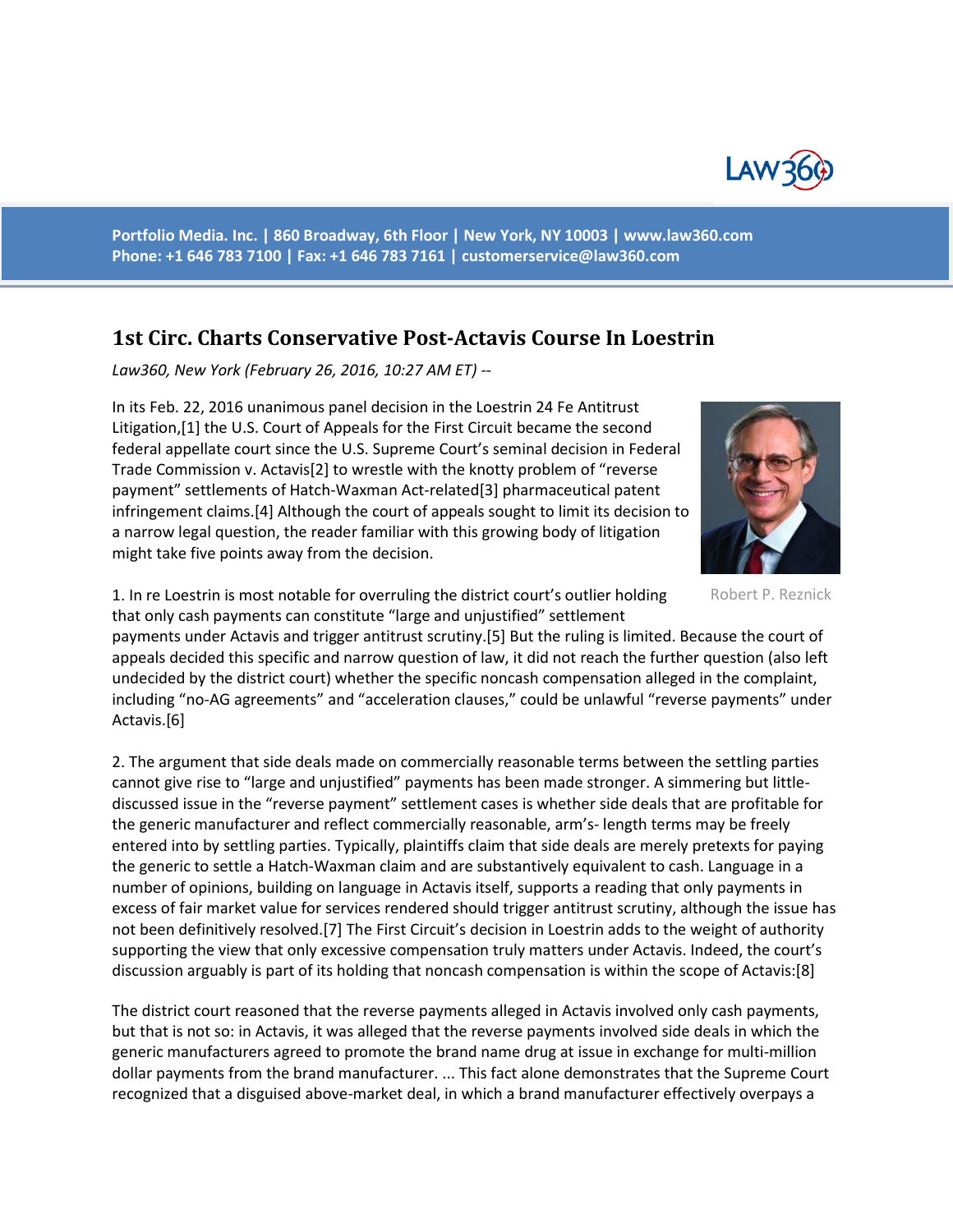

**Portfolio Media. Inc. | 860 Broadway, 6th Floor | New York, NY 10003 | www.law360.com Phone: +1 646 783 7100 | Fax: +1 646 783 7161 | [customerservice@law360.com](mailto:customerservice@law360.com)**

## **1st Circ. Charts Conservative Post-Actavis Course In Loestrin**

*Law360, New York (February 26, 2016, 10:27 AM ET) --*

In its Feb. 22, 2016 unanimous panel decision in the Loestrin 24 Fe Antitrust Litigation,[1] the U.S. Court of Appeals for the First Circuit became the second federal appellate court since the U.S. Supreme Court's seminal decision in Federal Trade Commission v. Actavis[2] to wrestle with the knotty problem of "reverse payment" settlements of Hatch-Waxman Act-related[3] pharmaceutical patent infringement claims.[4] Although the court of appeals sought to limit its decision to a narrow legal question, the reader familiar with this growing body of litigation might take five points away from the decision.



Robert P. Reznick

1. In re Loestrin is most notable for overruling the district court's outlier holding that only cash payments can constitute "large and unjustified" settlement

payments under Actavis and trigger antitrust scrutiny.[5] But the ruling is limited. Because the court of appeals decided this specific and narrow question of law, it did not reach the further question (also left undecided by the district court) whether the specific noncash compensation alleged in the complaint, including "no-AG agreements" and "acceleration clauses," could be unlawful "reverse payments" under Actavis.[6]

2. The argument that side deals made on commercially reasonable terms between the settling parties cannot give rise to "large and unjustified" payments has been made stronger. A simmering but littlediscussed issue in the "reverse payment" settlement cases is whether side deals that are profitable for the generic manufacturer and reflect commercially reasonable, arm's- length terms may be freely entered into by settling parties. Typically, plaintiffs claim that side deals are merely pretexts for paying the generic to settle a Hatch-Waxman claim and are substantively equivalent to cash. Language in a number of opinions, building on language in Actavis itself, supports a reading that only payments in excess of fair market value for services rendered should trigger antitrust scrutiny, although the issue has not been definitively resolved.[7] The First Circuit's decision in Loestrin adds to the weight of authority supporting the view that only excessive compensation truly matters under Actavis. Indeed, the court's discussion arguably is part of its holding that noncash compensation is within the scope of Actavis:[8]

The district court reasoned that the reverse payments alleged in Actavis involved only cash payments, but that is not so: in Actavis, it was alleged that the reverse payments involved side deals in which the generic manufacturers agreed to promote the brand name drug at issue in exchange for multi-million dollar payments from the brand manufacturer. ... This fact alone demonstrates that the Supreme Court recognized that a disguised above-market deal, in which a brand manufacturer effectively overpays a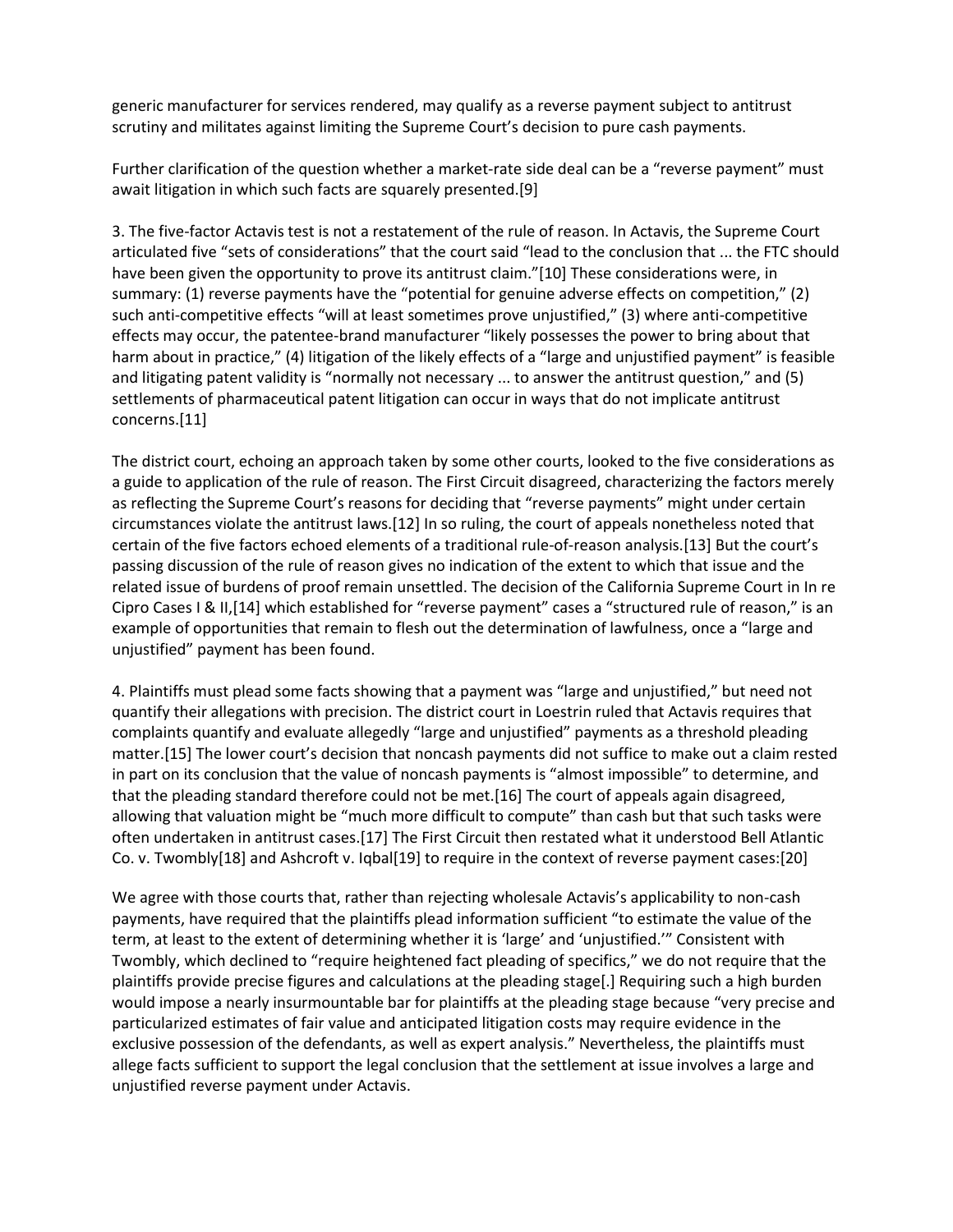generic manufacturer for services rendered, may qualify as a reverse payment subject to antitrust scrutiny and militates against limiting the Supreme Court's decision to pure cash payments.

Further clarification of the question whether a market-rate side deal can be a "reverse payment" must await litigation in which such facts are squarely presented.[9]

3. The five-factor Actavis test is not a restatement of the rule of reason. In Actavis, the Supreme Court articulated five "sets of considerations" that the court said "lead to the conclusion that ... the FTC should have been given the opportunity to prove its antitrust claim."[10] These considerations were, in summary: (1) reverse payments have the "potential for genuine adverse effects on competition," (2) such anti-competitive effects "will at least sometimes prove unjustified," (3) where anti-competitive effects may occur, the patentee-brand manufacturer "likely possesses the power to bring about that harm about in practice," (4) litigation of the likely effects of a "large and unjustified payment" is feasible and litigating patent validity is "normally not necessary ... to answer the antitrust question," and (5) settlements of pharmaceutical patent litigation can occur in ways that do not implicate antitrust concerns.[11]

The district court, echoing an approach taken by some other courts, looked to the five considerations as a guide to application of the rule of reason. The First Circuit disagreed, characterizing the factors merely as reflecting the Supreme Court's reasons for deciding that "reverse payments" might under certain circumstances violate the antitrust laws.[12] In so ruling, the court of appeals nonetheless noted that certain of the five factors echoed elements of a traditional rule-of-reason analysis.[13] But the court's passing discussion of the rule of reason gives no indication of the extent to which that issue and the related issue of burdens of proof remain unsettled. The decision of the California Supreme Court in In re Cipro Cases I & II,[14] which established for "reverse payment" cases a "structured rule of reason," is an example of opportunities that remain to flesh out the determination of lawfulness, once a "large and unjustified" payment has been found.

4. Plaintiffs must plead some facts showing that a payment was "large and unjustified," but need not quantify their allegations with precision. The district court in Loestrin ruled that Actavis requires that complaints quantify and evaluate allegedly "large and unjustified" payments as a threshold pleading matter.[15] The lower court's decision that noncash payments did not suffice to make out a claim rested in part on its conclusion that the value of noncash payments is "almost impossible" to determine, and that the pleading standard therefore could not be met.[16] The court of appeals again disagreed, allowing that valuation might be "much more difficult to compute" than cash but that such tasks were often undertaken in antitrust cases.[17] The First Circuit then restated what it understood Bell Atlantic Co. v. Twombly[18] and Ashcroft v. Iqbal[19] to require in the context of reverse payment cases:[20]

We agree with those courts that, rather than rejecting wholesale Actavis's applicability to non-cash payments, have required that the plaintiffs plead information sufficient "to estimate the value of the term, at least to the extent of determining whether it is 'large' and 'unjustified.'" Consistent with Twombly, which declined to "require heightened fact pleading of specifics," we do not require that the plaintiffs provide precise figures and calculations at the pleading stage[.] Requiring such a high burden would impose a nearly insurmountable bar for plaintiffs at the pleading stage because "very precise and particularized estimates of fair value and anticipated litigation costs may require evidence in the exclusive possession of the defendants, as well as expert analysis." Nevertheless, the plaintiffs must allege facts sufficient to support the legal conclusion that the settlement at issue involves a large and unjustified reverse payment under Actavis.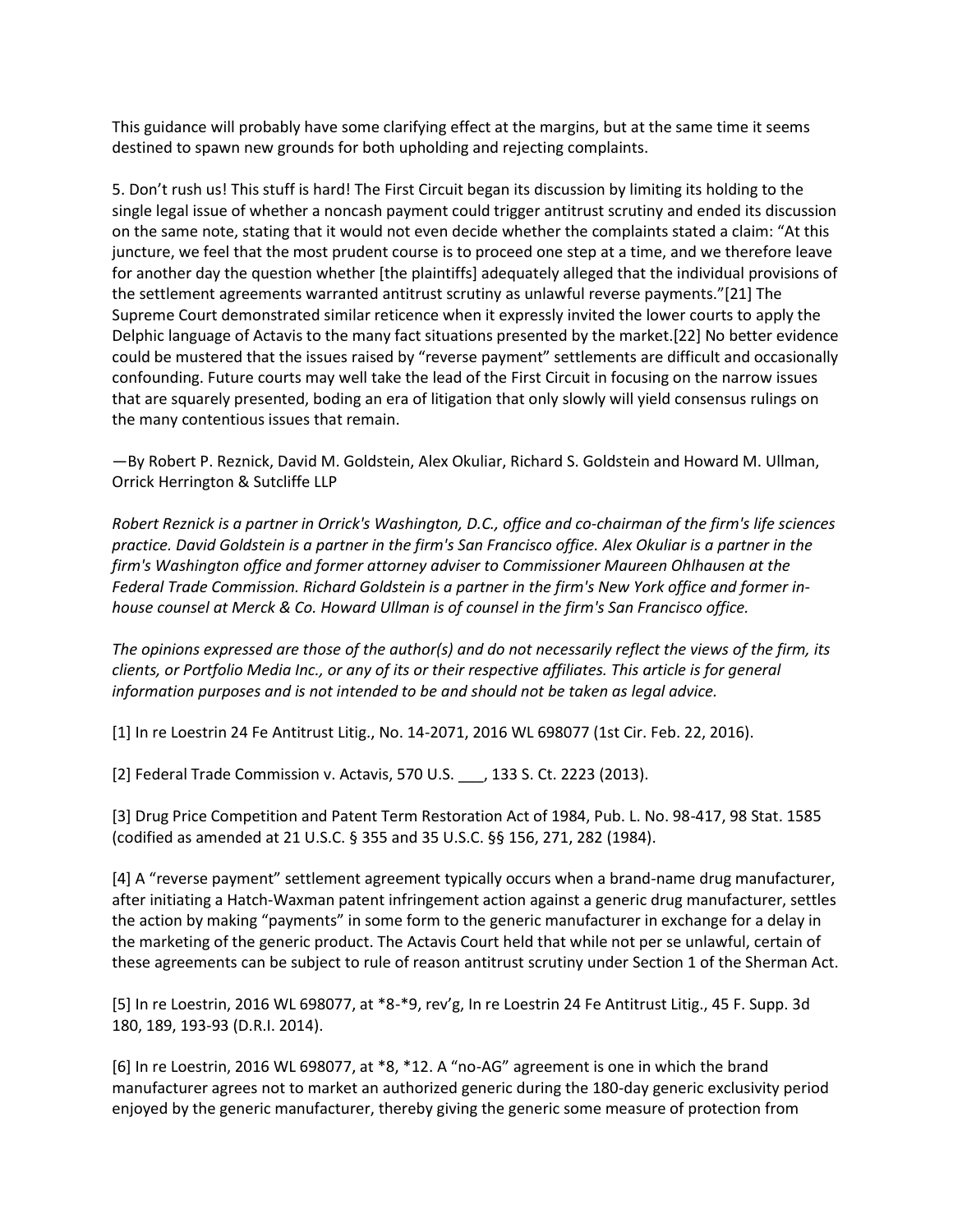This guidance will probably have some clarifying effect at the margins, but at the same time it seems destined to spawn new grounds for both upholding and rejecting complaints.

5. Don't rush us! This stuff is hard! The First Circuit began its discussion by limiting its holding to the single legal issue of whether a noncash payment could trigger antitrust scrutiny and ended its discussion on the same note, stating that it would not even decide whether the complaints stated a claim: "At this juncture, we feel that the most prudent course is to proceed one step at a time, and we therefore leave for another day the question whether [the plaintiffs] adequately alleged that the individual provisions of the settlement agreements warranted antitrust scrutiny as unlawful reverse payments."[21] The Supreme Court demonstrated similar reticence when it expressly invited the lower courts to apply the Delphic language of Actavis to the many fact situations presented by the market.[22] No better evidence could be mustered that the issues raised by "reverse payment" settlements are difficult and occasionally confounding. Future courts may well take the lead of the First Circuit in focusing on the narrow issues that are squarely presented, boding an era of litigation that only slowly will yield consensus rulings on the many contentious issues that remain.

—By Robert P. Reznick, David M. Goldstein, Alex Okuliar, Richard S. Goldstein and Howard M. Ullman, Orrick Herrington & Sutcliffe LLP

*Robert Reznick is a partner in Orrick's Washington, D.C., office and co-chairman of the firm's life sciences practice. David Goldstein is a partner in the firm's San Francisco office. Alex Okuliar is a partner in the firm's Washington office and former attorney adviser to Commissioner Maureen Ohlhausen at the Federal Trade Commission. Richard Goldstein is a partner in the firm's New York office and former inhouse counsel at Merck & Co. Howard Ullman is of counsel in the firm's San Francisco office.*

*The opinions expressed are those of the author(s) and do not necessarily reflect the views of the firm, its clients, or Portfolio Media Inc., or any of its or their respective affiliates. This article is for general information purposes and is not intended to be and should not be taken as legal advice.*

[1] In re Loestrin 24 Fe Antitrust Litig., No. 14-2071, 2016 WL 698077 (1st Cir. Feb. 22, 2016).

[2] Federal Trade Commission v. Actavis, 570 U.S. \_\_\_, 133 S. Ct. 2223 (2013).

[3] Drug Price Competition and Patent Term Restoration Act of 1984, Pub. L. No. 98-417, 98 Stat. 1585 (codified as amended at 21 U.S.C. § 355 and 35 U.S.C. §§ 156, 271, 282 (1984).

[4] A "reverse payment" settlement agreement typically occurs when a brand-name drug manufacturer, after initiating a Hatch-Waxman patent infringement action against a generic drug manufacturer, settles the action by making "payments" in some form to the generic manufacturer in exchange for a delay in the marketing of the generic product. The Actavis Court held that while not per se unlawful, certain of these agreements can be subject to rule of reason antitrust scrutiny under Section 1 of the Sherman Act.

[5] In re Loestrin, 2016 WL 698077, at \*8-\*9, rev'g, In re Loestrin 24 Fe Antitrust Litig., 45 F. Supp. 3d 180, 189, 193-93 (D.R.I. 2014).

[6] In re Loestrin, 2016 WL 698077, at \*8, \*12. A "no-AG" agreement is one in which the brand manufacturer agrees not to market an authorized generic during the 180-day generic exclusivity period enjoyed by the generic manufacturer, thereby giving the generic some measure of protection from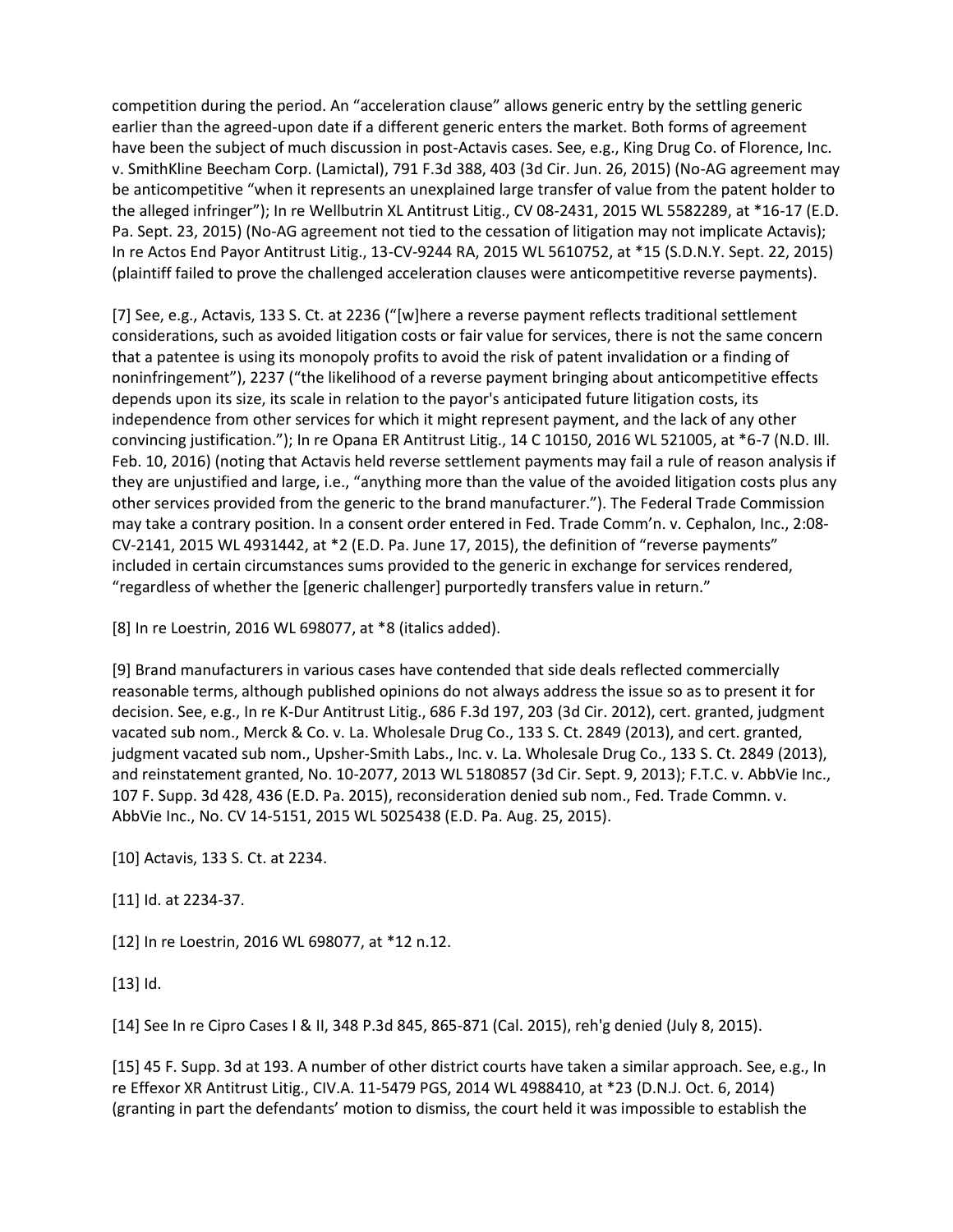competition during the period. An "acceleration clause" allows generic entry by the settling generic earlier than the agreed-upon date if a different generic enters the market. Both forms of agreement have been the subject of much discussion in post-Actavis cases. See, e.g., King Drug Co. of Florence, Inc. v. SmithKline Beecham Corp. (Lamictal), 791 F.3d 388, 403 (3d Cir. Jun. 26, 2015) (No-AG agreement may be anticompetitive "when it represents an unexplained large transfer of value from the patent holder to the alleged infringer"); In re Wellbutrin XL Antitrust Litig., CV 08-2431, 2015 WL 5582289, at \*16-17 (E.D. Pa. Sept. 23, 2015) (No-AG agreement not tied to the cessation of litigation may not implicate Actavis); In re Actos End Payor Antitrust Litig., 13-CV-9244 RA, 2015 WL 5610752, at \*15 (S.D.N.Y. Sept. 22, 2015) (plaintiff failed to prove the challenged acceleration clauses were anticompetitive reverse payments).

[7] See, e.g., Actavis, 133 S. Ct. at 2236 ("[w]here a reverse payment reflects traditional settlement considerations, such as avoided litigation costs or fair value for services, there is not the same concern that a patentee is using its monopoly profits to avoid the risk of patent invalidation or a finding of noninfringement"), 2237 ("the likelihood of a reverse payment bringing about anticompetitive effects depends upon its size, its scale in relation to the payor's anticipated future litigation costs, its independence from other services for which it might represent payment, and the lack of any other convincing justification."); In re Opana ER Antitrust Litig., 14 C 10150, 2016 WL 521005, at \*6-7 (N.D. Ill. Feb. 10, 2016) (noting that Actavis held reverse settlement payments may fail a rule of reason analysis if they are unjustified and large, i.e., "anything more than the value of the avoided litigation costs plus any other services provided from the generic to the brand manufacturer."). The Federal Trade Commission may take a contrary position. In a consent order entered in Fed. Trade Comm'n. v. Cephalon, Inc., 2:08- CV-2141, 2015 WL 4931442, at \*2 (E.D. Pa. June 17, 2015), the definition of "reverse payments" included in certain circumstances sums provided to the generic in exchange for services rendered, "regardless of whether the [generic challenger] purportedly transfers value in return."

[8] In re Loestrin, 2016 WL 698077, at \*8 (italics added).

[9] Brand manufacturers in various cases have contended that side deals reflected commercially reasonable terms, although published opinions do not always address the issue so as to present it for decision. See, e.g., In re K-Dur Antitrust Litig., 686 F.3d 197, 203 (3d Cir. 2012), cert. granted, judgment vacated sub nom., Merck & Co. v. La. Wholesale Drug Co., 133 S. Ct. 2849 (2013), and cert. granted, judgment vacated sub nom., Upsher-Smith Labs., Inc. v. La. Wholesale Drug Co., 133 S. Ct. 2849 (2013), and reinstatement granted, No. 10-2077, 2013 WL 5180857 (3d Cir. Sept. 9, 2013); F.T.C. v. AbbVie Inc., 107 F. Supp. 3d 428, 436 (E.D. Pa. 2015), reconsideration denied sub nom., Fed. Trade Commn. v. AbbVie Inc., No. CV 14-5151, 2015 WL 5025438 (E.D. Pa. Aug. 25, 2015).

[10] Actavis, 133 S. Ct. at 2234.

[11] Id. at 2234-37.

[12] In re Loestrin, 2016 WL 698077, at \*12 n.12.

[13] Id.

[14] See In re Cipro Cases I & II, 348 P.3d 845, 865-871 (Cal. 2015), reh'g denied (July 8, 2015).

[15] 45 F. Supp. 3d at 193. A number of other district courts have taken a similar approach. See, e.g., In re Effexor XR Antitrust Litig., CIV.A. 11-5479 PGS, 2014 WL 4988410, at \*23 (D.N.J. Oct. 6, 2014) (granting in part the defendants' motion to dismiss, the court held it was impossible to establish the